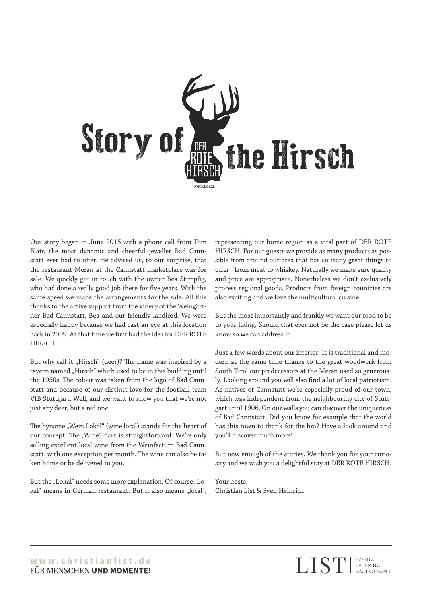

Our story began in June 2015 with a phone call from Tom Blair, the most dynamic and cheerful jeweller Bad Cannstatt ever had to offer. He advised us, to our surprise, that the restaurant Meran at the Cannstatt marketplace was for sale. We quickly got in touch with the owner Bea Stimpfig, who had done a really good job there for five years. With the same speed we made the arrangements for the sale. All this thanks to the active support from the vinery of the Weingärtner Bad Cannstatt, Bea and our friendly landlord. We were especially happy because we had cast an eye at this location back in 2009. At that time we first had the idea for DER ROTE HIRSCH.

But why call it "Hirsch" (deer)? The name was inspired by a tavern named "Hirsch" which used to be in this building until the 1950s. The colour was taken from the logo of Bad Cannstatt and because of our distinct love for the football team VfB Stuttgart. Well, and we want to show you that we're not just any deer, but a red one.

The byname "Wein.Lokal" (wine.local) stands for the heart of our concept. The "Wine" part is straightforward: We're only selling excellent local wine from the Weinfactum Bad Cannstatt, with one exception per month. The wine can also be taken home or be delivered to you.

But the "Lokal" needs some more explanation. Of course "Lokal" means in German restaurant. But it also means "local",

representing our home region as a vital part of DER ROTE HIRSCH. For our guests we provide as many products as possible from around our area that has so many great things to offer - from meat to whiskey. Naturally we make sure quality and price are appropriate. Nonetheless we don't exclusively process regional goods. Products from foreign countries are also exciting and we love the multicultural cuisine.

But the most importantly and frankly we want our food to be to your liking. Should that ever not be the case please let us know so we can address it.

Just a few words about our interior. It is traditional and modern at the same time thanks to the great woodwork from South Tirol our predecessors at the Meran used so generously. Looking around you will also find a lot of local patriotism. As natives of Cannstatt we're especially proud of our town, which was independent from the neighbouring city of Stuttgart until 1906. On our walls you can discover the uniqueness of Bad Cannstatt. Did you know for example that the world has this town to thank for the bra? Have a look around and you'll discover much more!

But now enough of the stories. We thank you for your curiosity and we wish you a delightful stay at DER ROTE HIRSCH.

Your hosts, Christian List & Sven Heinrich

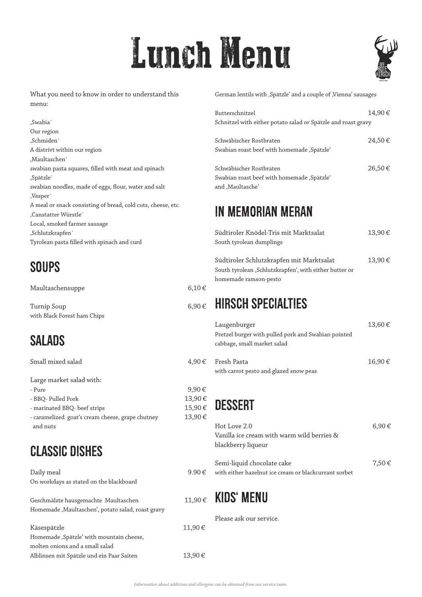# Lunch Menu



What you need to know in order to understand this menu:

| ,Swabia´                                                     |
|--------------------------------------------------------------|
| Our region                                                   |
| ,Schmiden                                                    |
| A distrivt within our region                                 |
| ,Maultaschen                                                 |
| swabian pasta squares, filled with meat and spinach          |
| ,Spätzle´                                                    |
| swabian noodles, made of eggs, flour, water and salt         |
| ,Vesper <sup>^</sup>                                         |
| A meal or snack consisting of bread, cold cuts, cheese, etc. |
| ,Canstatter Würstle                                          |
| Local, smoked farmer sausage                                 |
| ,Schlutzkrapfen                                              |
| Tyrolean pasta filled with spinach and curd                  |

### Soups

| Maultaschensuppe                           | $6,10 \in$ |
|--------------------------------------------|------------|
| Turnip Soup<br>with Black Forest ham Chips | 6,90€      |

# **SALADS**

| Small mixed salad        | 4.90€ |
|--------------------------|-------|
| Large market salad with: |       |

| - Pure                                           | 9.90€  |
|--------------------------------------------------|--------|
| - BBQ- Pulled Pork                               | 13,90€ |
| - marinated BBQ- beef strips                     | 15,90€ |
| - caramelized goat's cream cheese, grape chutney | 13,90€ |
| and nuts                                         |        |

# Classic dishes

| Daily meal<br>On workdays as stated on the blackboard                                     | 9.90€  |
|-------------------------------------------------------------------------------------------|--------|
| Geschmälzte hausgemachte Maultaschen<br>Homemade, Maultaschen', potato salad, roast gravy | 11,90€ |
| Käsespätzle<br>Homemade ,Spätzle' with mountain cheese,                                   | 11,90€ |
| molten onions and a small salad<br>Alblinsen mit Spätzle und ein Paar Saiten              | 13,90€ |

German lentils with , Spätzle' and a couple of , Vienna' sausages

| Butterschnitzel                                                                           | 14,90€ |
|-------------------------------------------------------------------------------------------|--------|
| Schnitzel with either potato salad or Spätzle and roast gravy                             |        |
| Schwäbischer Rostbraten<br>Swabian roast beef with homemade , Spätzle'                    | 24,50€ |
| Schwäbischer Rostbraten<br>Swabian roast beef with homemade, Spätzle'<br>and ,Maultasche' | 26,50€ |

# In Memorian Meran

| Südtiroler Knödel-Tris mit Marktsalat                  | 13,90€ |
|--------------------------------------------------------|--------|
| South tyrolean dumplings                               |        |
|                                                        |        |
| Südtiroler Schlutzkrapfen mit Marktsalat               | 13.90€ |
| South tyrolean, Schlutzkrapfen', with either butter or |        |
| homemade ramson-pesto                                  |        |
|                                                        |        |

#### $\epsilon$  HIRSCH SPECIALTIES

| Laugenburger                                        | $13,60 \in$ |
|-----------------------------------------------------|-------------|
| Pretzel burger with pulled pork and Swabian pointed |             |
| cabbage, small market salad                         |             |
|                                                     |             |
| Fresh Pasta                                         | 16.90€      |
| with carrot pesto and glazed snow peas              |             |

# $\frac{1}{9000}$  DESSERT

| KIDG' MENII                                                                         |       |
|-------------------------------------------------------------------------------------|-------|
| Semi-liquid chocolate cake<br>with either hazelnut ice cream or blackcurrant sorbet | 7.50€ |
| Hot Love $2.0$<br>Vanilla ice cream with warm wild berries &<br>blackberry liqueur  | 6,90€ |
|                                                                                     |       |

#### $\epsilon$  kius menu

Please ask our service.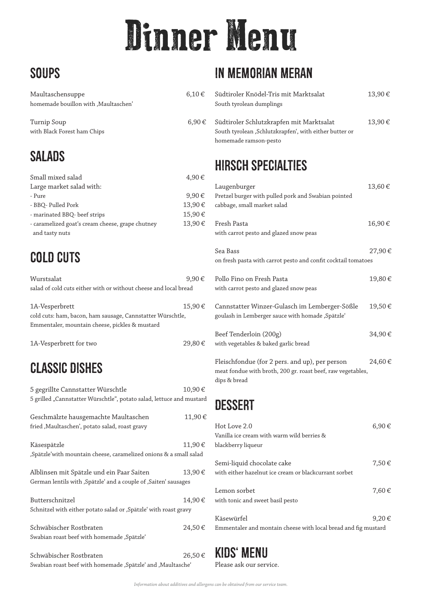# Dinner Menu

# **SOUPS**

| Maultaschensuppe<br>homemade bouillon with , Maultaschen' | $6.10 \in$ |
|-----------------------------------------------------------|------------|
| Turnip Soup<br>with Black Forest ham Chips                | 6,90€      |
| <b>SALADS</b>                                             |            |
| Small mixed salad                                         | 4,90 €     |

| Large market salad with:                         |        |
|--------------------------------------------------|--------|
| - Pure                                           | 9.90€  |
| - BBQ- Pulled Pork                               | 13.90€ |
| - marinated BBQ- beef strips                     | 15,90€ |
| - caramelized goat's cream cheese, grape chutney | 13,90€ |
| and tasty nuts                                   |        |

# Cold cuts

| Wurstsalat                                                       | 9.90€  |
|------------------------------------------------------------------|--------|
| salad of cold cuts either with or without cheese and local bread |        |
| 1A-Vesperbrett                                                   | 15,90€ |
| cold cuts: ham, bacon, ham sausage, Cannstatter Würschtle,       |        |
| Emmentaler, mountain cheese, pickles & mustard                   |        |
| 1A-Vesperbrett for two                                           | 29,80€ |

# Classic dishes

| 5 gegrillte Cannstatter Würschtle                                    | 10,90€ |
|----------------------------------------------------------------------|--------|
| 5 grilled "Cannstatter Würschtle", potato salad, lettuce and mustard |        |
|                                                                      |        |
| Geschmälzte hausgemachte Maultaschen                                 | 11,90€ |
| fried , Maultaschen', potato salad, roast gravy                      |        |
| Käsespätzle                                                          | 11,90€ |
| ,Spätzle'with mountain cheese, caramelized onions & a small salad    |        |
|                                                                      |        |
| Alblinsen mit Spätzle und ein Paar Saiten                            | 13,90€ |
| German lentils with , Spätzle' and a couple of , Saiten' sausages    |        |
|                                                                      |        |
| Butterschnitzel                                                      | 14,90€ |
| Schnitzel with either potato salad or , Spätzle' with roast gravy    |        |
| Schwäbischer Rostbraten                                              | 24,50€ |
| Swabian roast beef with homemade ,Spätzle'                           |        |
|                                                                      |        |
| Schwäbischer Rostbraten                                              | 26,50€ |
| Swabian roast beef with homemade, Spätzle' and, Maultasche'          |        |

#### In Memorian Meran

| Südtiroler Knödel-Tris mit Marktsalat<br>South tyrolean dumplings                                                            | 13,90€      |
|------------------------------------------------------------------------------------------------------------------------------|-------------|
| Südtiroler Schlutzkrapfen mit Marktsalat<br>South tyrolean , Schlutzkrapfen', with either butter or<br>homemade ramson-pesto | $13,90 \in$ |
|                                                                                                                              |             |

## Hirsch specialties

| Laugenburger<br>Pretzel burger with pulled pork and Swabian pointed<br>cabbage, small market salad                            | 13,60€ |
|-------------------------------------------------------------------------------------------------------------------------------|--------|
| Fresh Pasta<br>with carrot pesto and glazed snow peas                                                                         | 16,90€ |
| Sea Bass<br>on fresh pasta with carrot pesto and confit cocktail tomatoes                                                     | 27,90€ |
| Pollo Fino on Fresh Pasta<br>with carrot pesto and glazed snow peas                                                           | 19,80€ |
| Cannstatter Winzer-Gulasch im Lemberger-Sößle<br>goulash in Lemberger sauce with homade ,Spätzle'                             | 19,50€ |
| Beef Tenderloin (200g)<br>with vegetables & baked garlic bread                                                                | 34,90€ |
| Fleischfondue (for 2 pers. and up), per person<br>meat fondue with broth, 200 gr. roast beef, raw vegetables,<br>dips & bread | 24,60€ |

### **DESSERT**

| Hot Love 2.0<br>Vanilla ice cream with warm wild berries &<br>blackberry liqueur    | 6,90€      |
|-------------------------------------------------------------------------------------|------------|
| Semi-liquid chocolate cake<br>with either hazelnut ice cream or blackcurrant sorbet | 7,50€      |
| Lemon sorbet<br>with tonic and sweet basil pesto                                    | 7,60€      |
| Käsewürfel<br>Emmentaler and montain cheese with local bread and fig mustard        | $9.20 \in$ |

Kids' menu Please ask our service.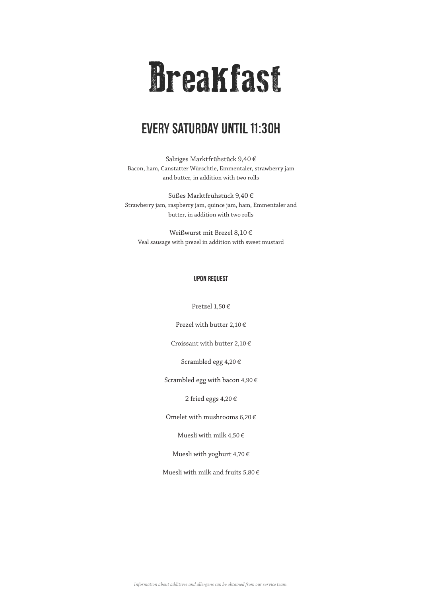# Breakfast

#### Every saturday until 11:30h

Salziges Marktfrühstück 9,40 € Bacon, ham, Canstatter Würschtle, Emmentaler, strawberry jam and butter, in addition with two rolls

Süßes Marktfrühstück 9,40 € Strawberry jam, raspberry jam, quince jam, ham, Emmentaler and butter, in addition with two rolls

Weißwurst mit Brezel 8,10 € Veal sausage with prezel in addition with sweet mustard

#### UPON REQUEST

Pretzel 1,50 €

Prezel with butter  $2.10 \in$ 

Croissant with butter 2,10  $\in$ 

Scrambled egg 4,20 €

Scrambled egg with bacon 4,90 €

2 fried eggs 4,20 €

Omelet with mushrooms 6,20 €

Muesli with milk  $4,50 \in$ 

Muesli with yoghurt 4,70 €

Muesli with milk and fruits 5,80  $\in$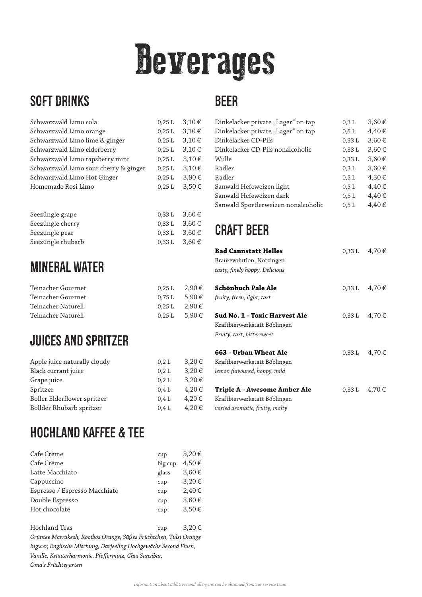# Beverages

## Soft drinks

| Schwarzwald Limo cola                 | 0.25L | $3,10 \in$ |
|---------------------------------------|-------|------------|
| Schwarzwald Limo orange               | 0,25L | 3,10€      |
| Schwarzwald Limo lime & ginger        | 0,25L | $3,10 \in$ |
| Schwarzwald Limo elderberry           | 0,25L | 3,10€      |
| Schwarzwald Limo rapsberry mint       | 0,25L | 3,10€      |
| Schwarzwald Limo sour cherry & ginger | 0,25L | 3,10€      |
| Schwarzwald Limo Hot Ginger           | 0,25L | 3,90€      |
| Homemade Rosi Limo                    | 0.25L | 3,50€      |
|                                       |       |            |

| Seezüngle grape   | $0,33 L$ 3,60 € |
|-------------------|-----------------|
| Seezüngle cherry  | $0,33 L$ 3,60 € |
| Seezüngle pear    | $0.33 L$ 3.60 € |
| Seezüngle rhubarb | $0,33 L$ 3,60 € |
|                   |                 |

#### Mineral water

| $0,25$ L $2,90$ €   |  |
|---------------------|--|
| $0.75 L$ 5.90 $\in$ |  |
| $0.25 L$ $2.90 \in$ |  |
| $0.25 L$ 5.90 $\in$ |  |
|                     |  |

# Juices and spritzer

| 0.2 L | $3,20 \in$ |
|-------|------------|
| 0.2 L | $3,20 \in$ |
| 0.2 L | $3,20 \in$ |
| 0.4L  | 4,20€      |
| 0.4L  | 4,20€      |
| 0.4L  | 4,20€      |
|       |            |

#### Beer

| Dinkelacker private "Lager" on tap  | 0.3L  | 3,60€ |
|-------------------------------------|-------|-------|
| Dinkelacker private "Lager" on tap  | 0.5L  | 4,40€ |
| Dinkelacker CD-Pils                 | 0.33L | 3,60€ |
| Dinkelacker CD-Pils nonalcoholic    | 0.33L | 3,60€ |
| Wulle                               | 0,33L | 3,60€ |
| Radler                              | 0.3L  | 3,60€ |
| Radler                              | 0.5L  | 4,30€ |
| Sanwald Hefeweizen light            | 0.5L  | 4,40€ |
| Sanwald Hefeweizen dark             | 0.5L  | 4,40€ |
| Sanwald Sportlerweizen nonalcoholic | 0.5L  | 4.40€ |

### Craft Beer

| <b>Bad Cannstatt Helles</b><br>Braurevolution, Notzingen<br>tasty, finely hoppy, Delicious        |       | $0,33 L$ 4,70 € |
|---------------------------------------------------------------------------------------------------|-------|-----------------|
| Schönbuch Pale Ale<br>fruity, fresh, light, tart                                                  |       | $0,33 L$ 4,70 € |
| <b>Sud No. 1 - Toxic Harvest Ale</b><br>Kraftbierwerkstatt Böblingen<br>Fruity, tart, bittersweet | 0,33L | 4,70€           |
| 663 - Urban Wheat Ale<br>Kraftbierwerkstatt Böblingen<br>lemon flavoured, hoppy, mild             |       | $0,33 L$ 4,70 € |
| <b>Triple A - Awesome Amber Ale</b><br>$U_{\alpha\alpha}$ file is a consequent to the line wave   |       | $0,33 L$ 4,70 € |

Kraftbierwerkstatt Böblingen *varied aromatic, fruity, malty*

# Hochland Kaffee & Tee

| Cafe Crème                                                        | cup     | 3.20€      |
|-------------------------------------------------------------------|---------|------------|
| Cafe Crème                                                        | big cup | 4,50€      |
| Latte Macchiato                                                   | glass   | 3,60€      |
| Cappuccino                                                        | cup     | 3,20€      |
| Espresso / Espresso Macchiato                                     | cup     | 2,40€      |
| Double Espresso                                                   | cup     | 3,60€      |
| Hot chocolate                                                     | cup     | 3,50€      |
| Hochland Teas                                                     | cup     | $3,20 \in$ |
| Grüntee Marrakesh, Rooibos Orange, Süßes Früchtchen, Tulsi Orange |         |            |
| Ingwer, Englische Mischung, Darjeeling Hochgewächs Second Flush,  |         |            |
| Vanille, Kräuterharmonie, Pfefferminz, Chai Sansibar,             |         |            |
| Oma's Früchtegarten                                               |         |            |
|                                                                   |         |            |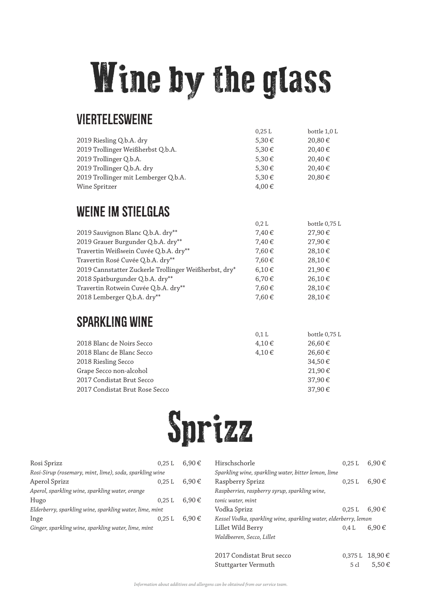# Wine by the glass

#### **VIERTELESWEINE**

|                                      | 0.25L      | bottle 1,0 L |
|--------------------------------------|------------|--------------|
| 2019 Riesling Q.b.A. dry             | $5,30 \in$ | 20,80 €      |
| 2019 Trollinger Weißherbst Q.b.A.    | $5.30 \in$ | 20,40 €      |
| 2019 Trollinger Q.b.A.               | $5.30 \in$ | 20,40 €      |
| 2019 Trollinger Q.b.A. dry           | $5.30 \in$ | 20,40 €      |
| 2019 Trollinger mit Lemberger Q.b.A. | $5,30 \in$ | 20,80 €      |
| Wine Spritzer                        | $4,00 \in$ |              |

### WEINE IM STIELGLAS

|                                                       | 0.2 L      | bottle 0,75 L |
|-------------------------------------------------------|------------|---------------|
| 2019 Sauvignon Blanc Q.b.A. dry**                     | 7,40€      | 27,90€        |
| 2019 Grauer Burgunder Q.b.A. dry**                    | 7.40€      | 27,90€        |
| Travertin Weißwein Cuvée Q.b.A. dry**                 | 7,60€      | 28,10€        |
| Travertin Rosé Cuvée Q.b.A. dry**                     | 7,60€      | 28,10€        |
| 2019 Cannstatter Zuckerle Trollinger Weißherbst, dry* | $6.10 \in$ | 21,90 €       |
| 2018 Spätburgunder Q.b.A. dry**                       | 6,70€      | 26,10€        |
| Travertin Rotwein Cuvée Q.b.A. dry**                  | 7,60€      | 28,10€        |
| 2018 Lemberger Q.b.A. dry**                           | 7.60€      | 28.10€        |

#### Sparkling wine

|                                | 0.1L  | bottle 0,75 L |
|--------------------------------|-------|---------------|
| 2018 Blanc de Noirs Secco      | 4,10€ | 26,60€        |
| 2018 Blanc de Blanc Secco      | 4.10€ | 26,60€        |
| 2018 Riesling Secco            |       | 34,50€        |
| Grape Secco non-alcohol        |       | 21.90€        |
| 2017 Condistat Brut Secco      |       | 37,90€        |
| 2017 Condistat Brut Rose Secco |       | 37,90€        |



| Rosi Sprizz                                             | 0.25L | $6.90 \in$ | Hirschschorle                                                    | 0.25L | $6.90 \in$ |
|---------------------------------------------------------|-------|------------|------------------------------------------------------------------|-------|------------|
| Rosi-Sirup (rosemary, mint, lime), soda, sparkling wine |       |            | Sparkling wine, sparkling water, bitter lemon, lime              |       |            |
| Aperol Sprizz                                           | 0.25L | 6.90 €     | Raspberry Sprizz                                                 | 0.25  | 6,90 €     |
| Aperol, sparkling wine, sparkling water, orange         |       |            | Raspberries, raspberry syrup, sparkling wine,                    |       |            |
| Hugo                                                    | 0.25L | $6.90 \in$ | tonic water, mint                                                |       |            |
| Elderberry, sparkling wine, sparkling water, lime, mint |       |            | Vodka Sprizz                                                     | 0.25L | $6.90 \in$ |
| Inge                                                    | 0.25L | $6.90 \in$ | Kessel Vodka, sparkling wine, sparkling water, elderberry, lemon |       |            |
| Ginger, sparkling wine, sparkling water, lime, mint     |       |            | Lillet Wild Berry                                                | 0.4L  | 6.90€      |
|                                                         |       |            | Waldbeeren, Secco, Lillet                                        |       |            |
|                                                         |       |            |                                                                  |       |            |

| 2017 Condistat Brut secco | $0,375$ L 18,90 € |
|---------------------------|-------------------|
| Stuttgarter Vermuth       | 5 cl $5,50 \in$   |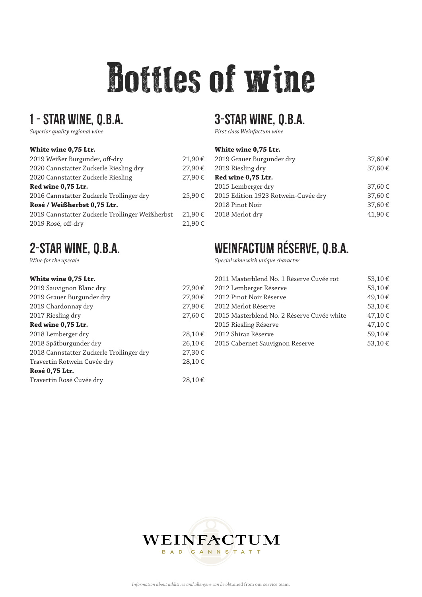# Bottles of wine

# 1 - Star wine, Q.b.A.

*Superior quality regional wine*

#### **White wine 0,75 Ltr.**

| 2019 Weißer Burgunder, off-dry                  | 21,90 € |
|-------------------------------------------------|---------|
| 2020 Cannstatter Zuckerle Riesling dry          | 27,90€  |
| 2020 Cannstatter Zuckerle Riesling              | 27,90€  |
| Red wine 0,75 Ltr.                              |         |
| 2016 Cannstatter Zuckerle Trollinger dry        | 25,90 € |
| Rosé / Weißherbst 0,75 Ltr.                     |         |
| 2019 Cannstatter Zuckerle Trollinger Weißherbst | 21.90€  |
| 2019 Rosé, off-dry                              | 21,90€  |
|                                                 |         |

#### 2-Star wine, Q.b.A.

*Wine for the upscale*

#### **White wine 0,75 Ltr.**

| 2019 Sauvignon Blanc dry                 | 27,90€  |
|------------------------------------------|---------|
| 2019 Grauer Burgunder dry                | 27,90€  |
| 2019 Chardonnay dry                      | 27,90€  |
| 2017 Riesling dry                        | 27,60€  |
| Red wine 0,75 Ltr.                       |         |
| 2018 Lemberger dry                       | 28,10€  |
| 2018 Spätburgunder dry                   | 26,10€  |
| 2018 Cannstatter Zuckerle Trollinger dry | 27,30 € |
| Travertin Rotwein Cuvée dry              | 28,10€  |
| Rosé 0,75 Ltr.                           |         |
| Travertin Rosé Cuvée dry                 | 28,10€  |
|                                          |         |

#### 3-Star wine, Q.b.A.

*First class Weinfactum wine*

#### **White wine 0,75 Ltr.**

| 37,60 € |
|---------|
| 37,60€  |
|         |
| 37,60€  |
| 37,60€  |
| 37,60€  |
| 41,90€  |
|         |

#### Weinfactum Réserve, Q.b.A.

*Special wine with unique character*

| 2011 Masterblend No. 1 Réserve Cuvée rot   | 53,10€ |
|--------------------------------------------|--------|
| 2012 Lemberger Réserve                     | 53,10€ |
| 2012 Pinot Noir Réserve                    | 49,10€ |
| 2012 Merlot Réserve                        | 53,10€ |
| 2015 Masterblend No. 2 Réserve Cuvée white | 47,10€ |
| 2015 Riesling Réserve                      | 47,10€ |
| 2012 Shiraz Réserve                        | 59,10€ |
| 2015 Cabernet Sauvignon Reserve            | 53,10€ |
|                                            |        |